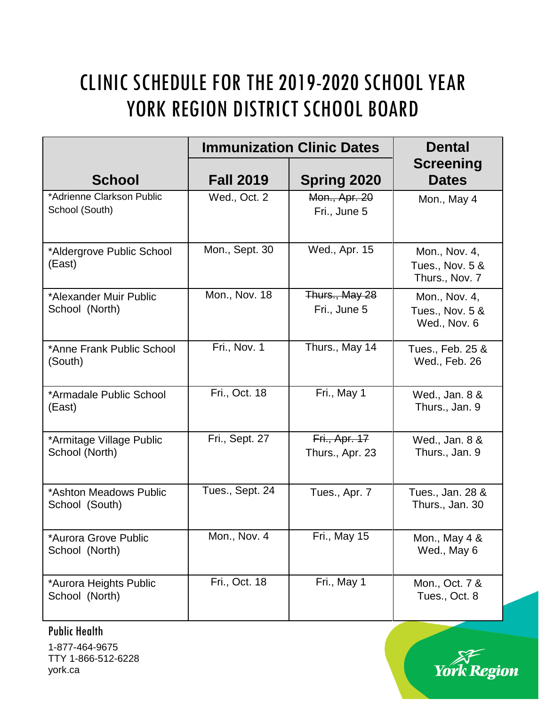## CLINIC SCHEDULE FOR THE 2019-2020 SCHOOL YEAR YORK REGION DISTRICT SCHOOL BOARD

|                                             |                  | <b>Immunization Clinic Dates</b> | <b>Dental</b>                                      |
|---------------------------------------------|------------------|----------------------------------|----------------------------------------------------|
| <b>School</b>                               | <b>Fall 2019</b> | <b>Spring 2020</b>               | <b>Screening</b><br><b>Dates</b>                   |
| *Adrienne Clarkson Public<br>School (South) | Wed., Oct. 2     | Mon., Apr. 20<br>Fri., June 5    | Mon., May 4                                        |
| *Aldergrove Public School<br>(East)         | Mon., Sept. 30   | Wed., Apr. 15                    | Mon., Nov. 4,<br>Tues., Nov. 5 &<br>Thurs., Nov. 7 |
| *Alexander Muir Public<br>School (North)    | Mon., Nov. 18    | Thurs., May 28<br>Fri., June 5   | Mon., Nov. 4,<br>Tues., Nov. 5 &<br>Wed., Nov. 6   |
| *Anne Frank Public School<br>(South)        | Fri., Nov. 1     | Thurs., May 14                   | Tues., Feb. 25 &<br>Wed., Feb. 26                  |
| *Armadale Public School<br>(East)           | Fri., Oct. 18    | Fri., May 1                      | Wed., Jan. 8 &<br>Thurs., Jan. 9                   |
| *Armitage Village Public<br>School (North)  | Fri., Sept. 27   | Fri., Apr. 17<br>Thurs., Apr. 23 | Wed., Jan. 8 &<br>Thurs., Jan. 9                   |
| *Ashton Meadows Public<br>School (South)    | Tues., Sept. 24  | Tues., Apr. 7                    | Tues., Jan. 28 &<br>Thurs., Jan. 30                |
| *Aurora Grove Public<br>School (North)      | Mon., Nov. 4     | Fri., May 15                     | Mon., May 4 &<br>Wed., May 6                       |
| *Aurora Heights Public<br>School (North)    | Fri., Oct. 18    | Fri., May 1                      | Mon., Oct. 7 &<br>Tues., Oct. 8                    |

Public Health

1-877-464-9675 TTY 1-866-512-6228 york.ca

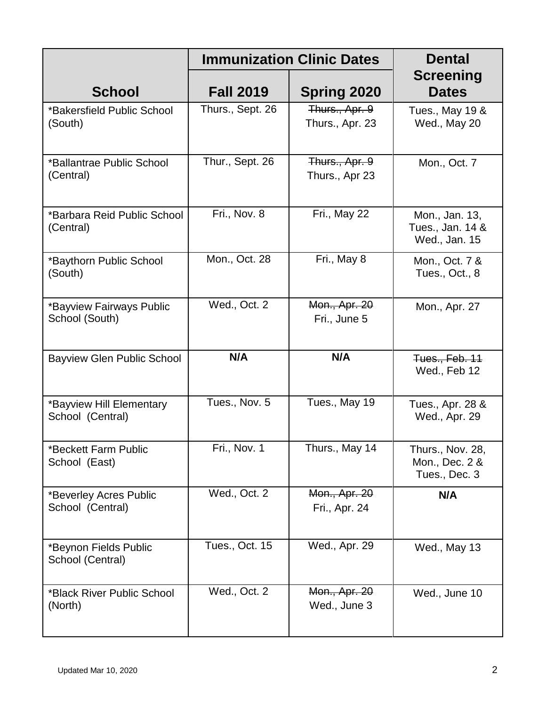|                                              |                  | <b>Immunization Clinic Dates</b>  | <b>Dental</b>                                       |
|----------------------------------------------|------------------|-----------------------------------|-----------------------------------------------------|
| <b>School</b>                                | <b>Fall 2019</b> | <b>Spring 2020</b>                | <b>Screening</b><br><b>Dates</b>                    |
| *Bakersfield Public School<br>(South)        | Thurs., Sept. 26 | Thurs., Apr. 9<br>Thurs., Apr. 23 | Tues., May 19 &<br>Wed., May 20                     |
| *Ballantrae Public School<br>(Central)       | Thur., Sept. 26  | Thurs., Apr. 9<br>Thurs., Apr 23  | Mon., Oct. 7                                        |
| *Barbara Reid Public School<br>(Central)     | Fri., Nov. 8     | Fri., May 22                      | Mon., Jan. 13,<br>Tues., Jan. 14 &<br>Wed., Jan. 15 |
| *Baythorn Public School<br>(South)           | Mon., Oct. 28    | Fri., May 8                       | Mon., Oct. 7 &<br>Tues., Oct., 8                    |
| *Bayview Fairways Public<br>School (South)   | Wed., Oct. 2     | Mon., Apr. 20<br>Fri., June 5     | Mon., Apr. 27                                       |
| <b>Bayview Glen Public School</b>            | N/A              | N/A                               | Tues., Feb. 11<br>Wed., Feb 12                      |
| *Bayview Hill Elementary<br>School (Central) | Tues., Nov. 5    | Tues., May 19                     | Tues., Apr. 28 &<br>Wed., Apr. 29                   |
| *Beckett Farm Public<br>School (East)        | Fri., Nov. 1     | Thurs., May 14                    | Thurs., Nov. 28,<br>Mon., Dec. 2 &<br>Tues., Dec. 3 |
| *Beverley Acres Public<br>School (Central)   | Wed., Oct. 2     | Mon., Apr. 20<br>Fri., Apr. 24    | N/A                                                 |
| *Beynon Fields Public<br>School (Central)    | Tues., Oct. 15   | Wed., Apr. 29                     | Wed., May 13                                        |
| *Black River Public School<br>(North)        | Wed., Oct. 2     | Mon., Apr. 20<br>Wed., June 3     | Wed., June 10                                       |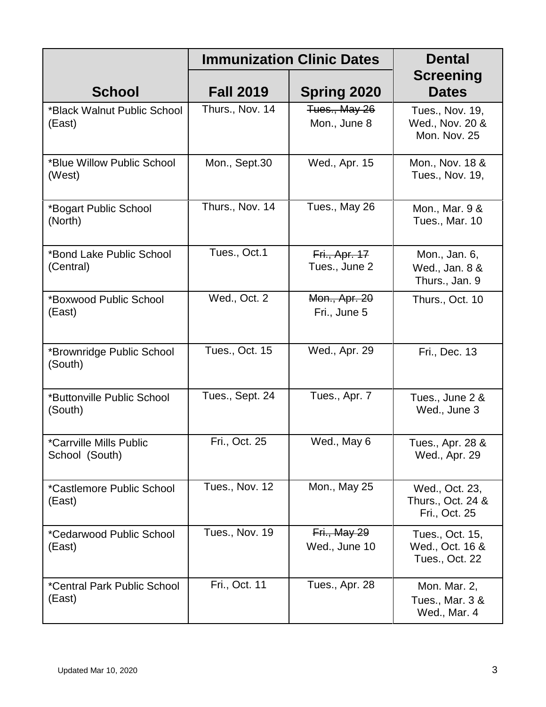|                                           |                  | <b>Immunization Clinic Dates</b>      | <b>Dental</b>                                        |  |
|-------------------------------------------|------------------|---------------------------------------|------------------------------------------------------|--|
| <b>School</b>                             | <b>Fall 2019</b> | <b>Spring 2020</b>                    | <b>Screening</b><br><b>Dates</b>                     |  |
| *Black Walnut Public School<br>(East)     | Thurs., Nov. 14  | Tues., May 26<br>Mon., June 8         | Tues., Nov. 19,<br>Wed., Nov. 20 &<br>Mon. Nov. 25   |  |
| *Blue Willow Public School<br>(West)      | Mon., Sept.30    | Wed., Apr. 15                         | Mon., Nov. 18 &<br>Tues., Nov. 19,                   |  |
| *Bogart Public School<br>(North)          | Thurs., Nov. 14  | Tues., May 26                         | Mon., Mar. 9 &<br>Tues., Mar. 10                     |  |
| *Bond Lake Public School<br>(Central)     | Tues., Oct.1     | <b>Fri., Apr. 17</b><br>Tues., June 2 | Mon., Jan. 6,<br>Wed., Jan. 8 &<br>Thurs., Jan. 9    |  |
| *Boxwood Public School<br>(East)          | Wed., Oct. 2     | Mon., Apr. 20<br>Fri., June 5         | Thurs., Oct. 10                                      |  |
| *Brownridge Public School<br>(South)      | Tues., Oct. 15   | Wed., Apr. 29                         | Fri., Dec. 13                                        |  |
| *Buttonville Public School<br>(South)     | Tues., Sept. 24  | Tues., Apr. 7                         | Tues., June 2 &<br>Wed., June 3                      |  |
| *Carrville Mills Public<br>School (South) | Fri., Oct. 25    | Wed., May 6                           | Tues., Apr. 28 &<br>Wed., Apr. 29                    |  |
| *Castlemore Public School<br>(East)       | Tues., Nov. 12   | Mon., May 25                          | Wed., Oct. 23,<br>Thurs., Oct. 24 &<br>Fri., Oct. 25 |  |
| *Cedarwood Public School<br>(East)        | Tues., Nov. 19   | Fri., May 29<br>Wed., June 10         | Tues., Oct. 15,<br>Wed., Oct. 16 &<br>Tues., Oct. 22 |  |
| *Central Park Public School<br>(East)     | Fri., Oct. 11    | Tues., Apr. 28                        | Mon. Mar. 2,<br>Tues., Mar. 3 &<br>Wed., Mar. 4      |  |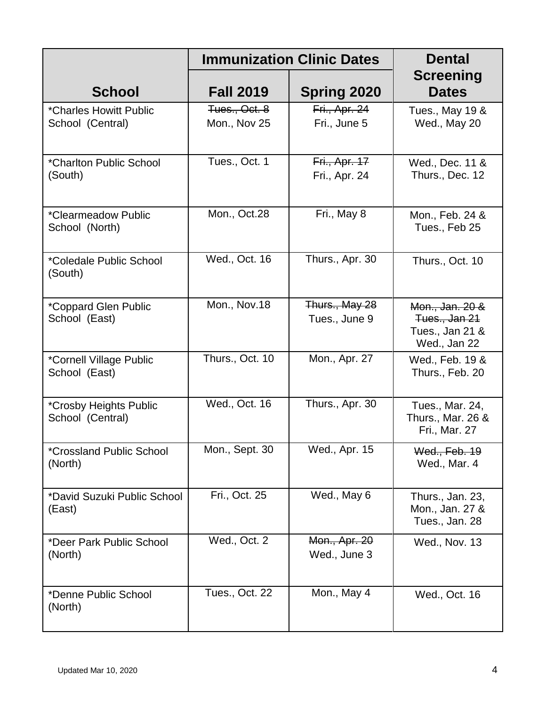|                                            |                               | <b>Immunization Clinic Dates</b>      | <b>Dental</b>                                                       |  |
|--------------------------------------------|-------------------------------|---------------------------------------|---------------------------------------------------------------------|--|
| <b>School</b>                              | <b>Fall 2019</b>              | <b>Spring 2020</b>                    | <b>Screening</b><br><b>Dates</b>                                    |  |
| *Charles Howitt Public<br>School (Central) | Tues., Oct. 8<br>Mon., Nov 25 | Fri., Apr. 24<br>Fri., June 5         | Tues., May 19 &<br>Wed., May 20                                     |  |
| *Charlton Public School<br>(South)         | Tues., Oct. 1                 | <b>Fri., Apr. 17</b><br>Fri., Apr. 24 | Wed., Dec. 11 &<br>Thurs., Dec. 12                                  |  |
| *Clearmeadow Public<br>School (North)      | Mon., Oct.28                  | Fri., May 8                           | Mon., Feb. 24 &<br>Tues., Feb 25                                    |  |
| *Coledale Public School<br>(South)         | Wed., Oct. 16                 | Thurs., Apr. 30                       | Thurs., Oct. 10                                                     |  |
| *Coppard Glen Public<br>School (East)      | Mon., Nov.18                  | Thurs., May 28<br>Tues., June 9       | Mon., Jan. 20 &<br>Tues., Jan 21<br>Tues., Jan 21 &<br>Wed., Jan 22 |  |
| *Cornell Village Public<br>School (East)   | Thurs., Oct. 10               | Mon., Apr. 27                         | Wed., Feb. 19 &<br>Thurs., Feb. 20                                  |  |
| *Crosby Heights Public<br>School (Central) | Wed., Oct. 16                 | Thurs., Apr. 30                       | Tues., Mar. 24,<br>Thurs., Mar. 26 &<br>Fri., Mar. 27               |  |
| <i>*Crossland Public School</i><br>(North) | Mon., Sept. 30                | Wed., Apr. 15                         | Wed., Feb. 19<br>Wed., Mar. 4                                       |  |
| *David Suzuki Public School<br>(East)      | Fri., Oct. 25                 | Wed., May 6                           | Thurs., Jan. 23,<br>Mon., Jan. 27 &<br>Tues., Jan. 28               |  |
| *Deer Park Public School<br>(North)        | Wed., Oct. 2                  | Mon., Apr. 20<br>Wed., June 3         | Wed., Nov. 13                                                       |  |
| *Denne Public School<br>(North)            | Tues., Oct. 22                | Mon., May 4                           | Wed., Oct. 16                                                       |  |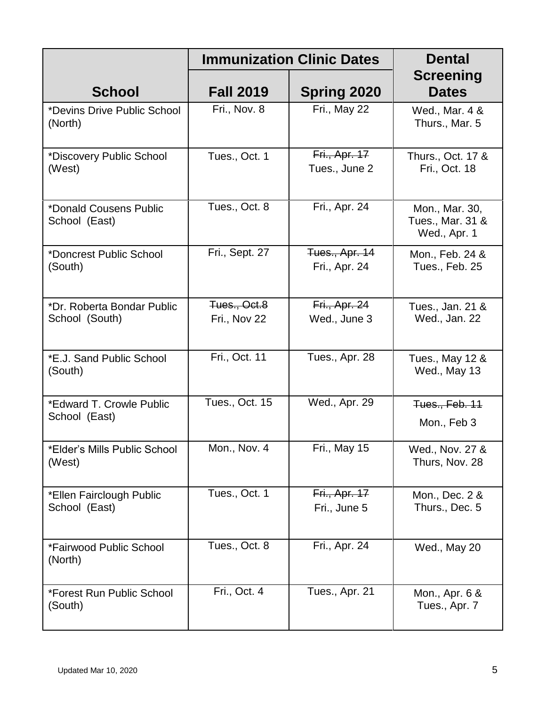|                                              |                              | <b>Immunization Clinic Dates</b>       | <b>Dental</b>                                      |
|----------------------------------------------|------------------------------|----------------------------------------|----------------------------------------------------|
| <b>School</b>                                | <b>Fall 2019</b>             | <b>Spring 2020</b>                     | <b>Screening</b><br><b>Dates</b>                   |
| *Devins Drive Public School<br>(North)       | Fri., Nov. 8                 | Fri., May 22                           | Wed., Mar. 4 &<br>Thurs., Mar. 5                   |
| *Discovery Public School<br>(West)           | Tues., Oct. 1                | <b>Fri., Apr. 17</b><br>Tues., June 2  | Thurs., Oct. 17 &<br>Fri., Oct. 18                 |
| *Donald Cousens Public<br>School (East)      | Tues., Oct. 8                | Fri., Apr. 24                          | Mon., Mar. 30,<br>Tues., Mar. 31 &<br>Wed., Apr. 1 |
| *Doncrest Public School<br>(South)           | Fri., Sept. 27               | <b>Tues., Apr. 14</b><br>Fri., Apr. 24 | Mon., Feb. 24 &<br>Tues., Feb. 25                  |
| *Dr. Roberta Bondar Public<br>School (South) | Tues., Oct.8<br>Fri., Nov 22 | <b>Fri., Apr. 24</b><br>Wed., June 3   | Tues., Jan. 21 &<br>Wed., Jan. 22                  |
| *E.J. Sand Public School<br>(South)          | Fri., Oct. 11                | Tues., Apr. 28                         | Tues., May 12 &<br>Wed., May 13                    |
| *Edward T. Crowle Public<br>School (East)    | Tues., Oct. 15               | Wed., Apr. 29                          | Tues., Feb. 11<br>Mon., Feb 3                      |
| *Elder's Mills Public School<br>(West)       | Mon., Nov. 4                 | Fri., May 15                           | Wed., Nov. 27 &<br>Thurs, Nov. 28                  |
| *Ellen Fairclough Public<br>School (East)    | Tues., Oct. 1                | <b>Fri., Apr. 17</b><br>Fri., June 5   | Mon., Dec. 2 &<br>Thurs., Dec. 5                   |
| *Fairwood Public School<br>(North)           | Tues., Oct. 8                | Fri., Apr. 24                          | Wed., May 20                                       |
| *Forest Run Public School<br>(South)         | Fri., Oct. 4                 | Tues., Apr. 21                         | Mon., Apr. 6 &<br>Tues., Apr. 7                    |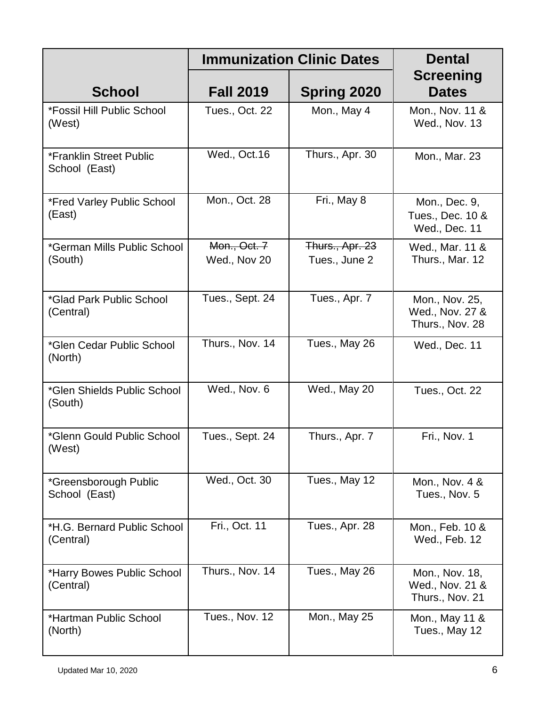|                                          |                              | <b>Immunization Clinic Dates</b> | <b>Dental</b>                                        |  |
|------------------------------------------|------------------------------|----------------------------------|------------------------------------------------------|--|
| <b>School</b>                            | <b>Fall 2019</b>             | <b>Spring 2020</b>               | <b>Screening</b><br><b>Dates</b>                     |  |
| *Fossil Hill Public School<br>(West)     | Tues., Oct. 22               | Mon., May 4                      | Mon., Nov. 11 &<br>Wed., Nov. 13                     |  |
| *Franklin Street Public<br>School (East) | Wed., Oct.16                 | Thurs., Apr. 30                  | Mon., Mar. 23                                        |  |
| *Fred Varley Public School<br>(East)     | Mon., Oct. 28                | Fri., May 8                      | Mon., Dec. 9,<br>Tues., Dec. 10 &<br>Wed., Dec. 11   |  |
| *German Mills Public School<br>(South)   | Mon., Oct. 7<br>Wed., Nov 20 | Thurs., Apr. 23<br>Tues., June 2 | Wed., Mar. 11 &<br>Thurs., Mar. 12                   |  |
| *Glad Park Public School<br>(Central)    | Tues., Sept. 24              | Tues., Apr. 7                    | Mon., Nov. 25,<br>Wed., Nov. 27 &<br>Thurs., Nov. 28 |  |
| *Glen Cedar Public School<br>(North)     | Thurs., Nov. 14              | Tues., May 26                    | Wed., Dec. 11                                        |  |
| *Glen Shields Public School<br>(South)   | Wed., Nov. 6                 | Wed., May 20                     | Tues., Oct. 22                                       |  |
| *Glenn Gould Public School<br>(West)     | Tues., Sept. 24              | Thurs., Apr. 7                   | Fri., Nov. 1                                         |  |
| *Greensborough Public<br>School (East)   | Wed., Oct. 30                | Tues., May 12                    | Mon., Nov. 4 &<br>Tues., Nov. 5                      |  |
| *H.G. Bernard Public School<br>(Central) | Fri., Oct. 11                | Tues., Apr. 28                   | Mon., Feb. 10 &<br>Wed., Feb. 12                     |  |
| *Harry Bowes Public School<br>(Central)  | Thurs., Nov. 14              | Tues., May 26                    | Mon., Nov. 18,<br>Wed., Nov. 21 &<br>Thurs., Nov. 21 |  |
| *Hartman Public School<br>(North)        | Tues., Nov. 12               | Mon., May 25                     | Mon., May 11 &<br>Tues., May 12                      |  |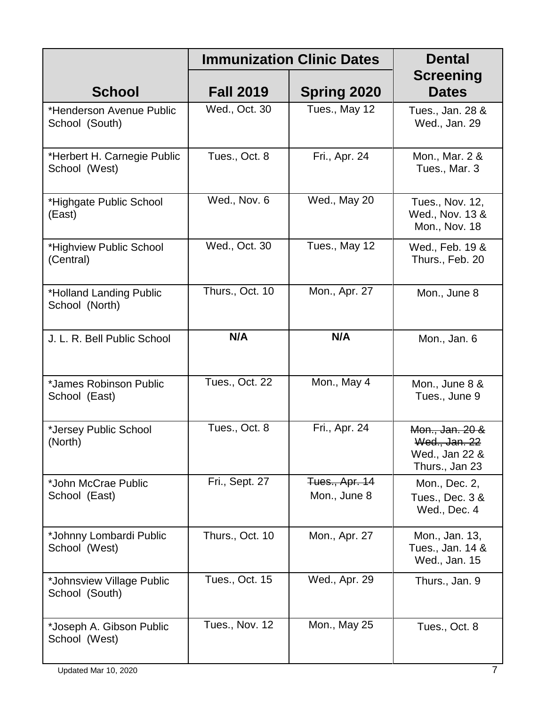|                                              |                       | <b>Immunization Clinic Dates</b>      | <b>Dental</b>                                                        |
|----------------------------------------------|-----------------------|---------------------------------------|----------------------------------------------------------------------|
| <b>School</b>                                | <b>Fall 2019</b>      | <b>Spring 2020</b>                    | <b>Screening</b><br><b>Dates</b>                                     |
| *Henderson Avenue Public<br>School (South)   | Wed., Oct. 30         | Tues., May 12                         | Tues., Jan. 28 &<br>Wed., Jan. 29                                    |
| *Herbert H. Carnegie Public<br>School (West) | Tues., Oct. 8         | Fri., Apr. 24                         | Mon., Mar. 2 &<br>Tues., Mar. 3                                      |
| *Highgate Public School<br>(East)            | Wed., Nov. 6          | Wed., May 20                          | Tues., Nov. 12,<br>Wed., Nov. 13 &<br>Mon., Nov. 18                  |
| *Highview Public School<br>(Central)         | Wed., Oct. 30         | Tues., May 12                         | Wed., Feb. 19 &<br>Thurs., Feb. 20                                   |
| *Holland Landing Public<br>School (North)    | Thurs., Oct. 10       | Mon., Apr. 27                         | Mon., June 8                                                         |
| J. L. R. Bell Public School                  | N/A                   | N/A                                   | Mon., Jan. 6                                                         |
| *James Robinson Public<br>School (East)      | <b>Tues., Oct. 22</b> | Mon., May 4                           | Mon., June 8 &<br>Tues., June 9                                      |
| *Jersey Public School<br>(North)             | Tues., Oct. 8         | Fri., Apr. 24                         | Mon., Jan. 20 &<br>Wed., Jan. 22<br>Wed., Jan 22 &<br>Thurs., Jan 23 |
| *John McCrae Public<br>School (East)         | Fri., Sept. 27        | <b>Tues., Apr. 14</b><br>Mon., June 8 | Mon., Dec. 2,<br>Tues., Dec. 3 &<br>Wed., Dec. 4                     |
| *Johnny Lombardi Public<br>School (West)     | Thurs., Oct. 10       | Mon., Apr. 27                         | Mon., Jan. 13,<br>Tues., Jan. 14 &<br>Wed., Jan. 15                  |
| *Johnsview Village Public<br>School (South)  | Tues., Oct. 15        | Wed., Apr. 29                         | Thurs., Jan. 9                                                       |
| *Joseph A. Gibson Public<br>School (West)    | Tues., Nov. 12        | Mon., May 25                          | Tues., Oct. 8                                                        |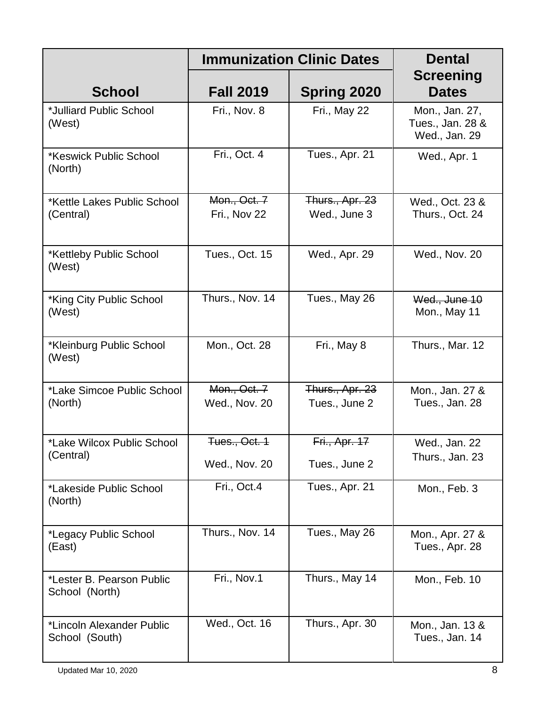|                                             |                                | <b>Immunization Clinic Dates</b> | <b>Dental</b>                                       |
|---------------------------------------------|--------------------------------|----------------------------------|-----------------------------------------------------|
| <b>School</b>                               | <b>Fall 2019</b>               | <b>Spring 2020</b>               | <b>Screening</b><br><b>Dates</b>                    |
| *Julliard Public School<br>(West)           | Fri., Nov. 8                   | Fri., May 22                     | Mon., Jan. 27,<br>Tues., Jan. 28 &<br>Wed., Jan. 29 |
| *Keswick Public School<br>(North)           | Fri., Oct. 4                   | Tues., Apr. 21                   | Wed., Apr. 1                                        |
| *Kettle Lakes Public School<br>(Central)    | Mon., Oct. 7<br>Fri., Nov 22   | Thurs., Apr. 23<br>Wed., June 3  | Wed., Oct. 23 &<br>Thurs., Oct. 24                  |
| *Kettleby Public School<br>(West)           | Tues., Oct. 15                 | Wed., Apr. 29                    | Wed., Nov. 20                                       |
| *King City Public School<br>(West)          | Thurs., Nov. 14                | Tues., May 26                    | Wed., June 10<br>Mon., May 11                       |
| *Kleinburg Public School<br>(West)          | Mon., Oct. 28                  | Fri., May 8                      | Thurs., Mar. 12                                     |
| *Lake Simcoe Public School<br>(North)       | Mon., Oct. 7<br>Wed., Nov. 20  | Thurs., Apr. 23<br>Tues., June 2 | Mon., Jan. 27 &<br>Tues., Jan. 28                   |
| *Lake Wilcox Public School<br>(Central)     | Tues., Oct. 1<br>Wed., Nov. 20 | Fri., Apr. 17<br>Tues., June 2   | Wed., Jan. 22<br>Thurs., Jan. 23                    |
| *Lakeside Public School<br>(North)          | Fri., Oct.4                    | Tues., Apr. 21                   | Mon., Feb. 3                                        |
| *Legacy Public School<br>(East)             | Thurs., Nov. 14                | Tues., May 26                    | Mon., Apr. 27 &<br>Tues., Apr. 28                   |
| *Lester B. Pearson Public<br>School (North) | Fri., Nov.1                    | Thurs., May 14                   | Mon., Feb. 10                                       |
| *Lincoln Alexander Public<br>School (South) | Wed., Oct. 16                  | Thurs., Apr. 30                  | Mon., Jan. 13 &<br>Tues., Jan. 14                   |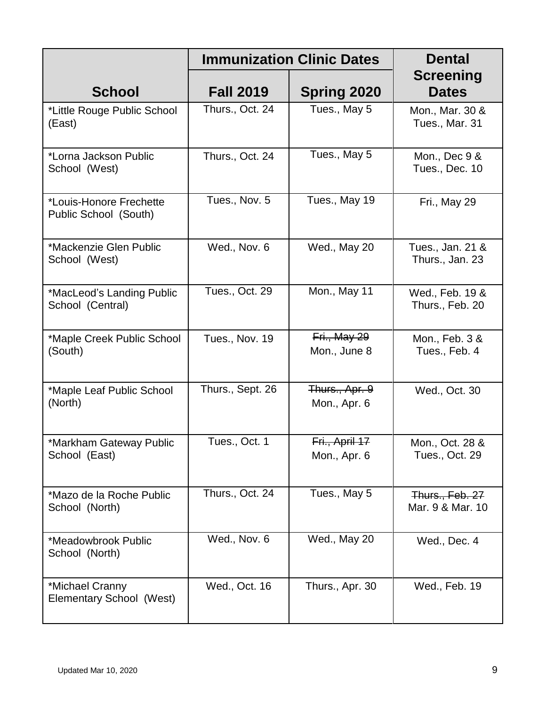|                                                  |                       | <b>Immunization Clinic Dates</b> | <b>Dental</b>                       |
|--------------------------------------------------|-----------------------|----------------------------------|-------------------------------------|
| <b>School</b>                                    | <b>Fall 2019</b>      | <b>Spring 2020</b>               | <b>Screening</b><br><b>Dates</b>    |
| *Little Rouge Public School<br>(East)            | Thurs., Oct. 24       | Tues., May 5                     | Mon., Mar. 30 &<br>Tues., Mar. 31   |
| *Lorna Jackson Public<br>School (West)           | Thurs., Oct. 24       | Tues., May 5                     | Mon., Dec 9 &<br>Tues., Dec. 10     |
| *Louis-Honore Frechette<br>Public School (South) | Tues., Nov. 5         | Tues., May 19                    | Fri., May 29                        |
| *Mackenzie Glen Public<br>School (West)          | Wed., Nov. 6          | Wed., May 20                     | Tues., Jan. 21 &<br>Thurs., Jan. 23 |
| *MacLeod's Landing Public<br>School (Central)    | <b>Tues., Oct. 29</b> | Mon., May 11                     | Wed., Feb. 19 &<br>Thurs., Feb. 20  |
| *Maple Creek Public School<br>(South)            | Tues., Nov. 19        | Fri., May 29<br>Mon., June 8     | Mon., Feb. 3 &<br>Tues., Feb. 4     |
| *Maple Leaf Public School<br>(North)             | Thurs., Sept. 26      | Thurs., Apr. 9<br>Mon., Apr. 6   | Wed., Oct. 30                       |
| *Markham Gateway Public<br>School (East)         | Tues., Oct. 1         | Fri., April 17<br>Mon., Apr. 6   | Mon., Oct. 28 &<br>Tues., Oct. 29   |
| *Mazo de la Roche Public<br>School (North)       | Thurs., Oct. 24       | Tues., May 5                     | Thurs., Feb. 27<br>Mar. 9 & Mar. 10 |
| *Meadowbrook Public<br>School (North)            | Wed., Nov. 6          | Wed., May 20                     | Wed., Dec. 4                        |
| *Michael Cranny<br>Elementary School (West)      | Wed., Oct. 16         | Thurs., Apr. 30                  | Wed., Feb. 19                       |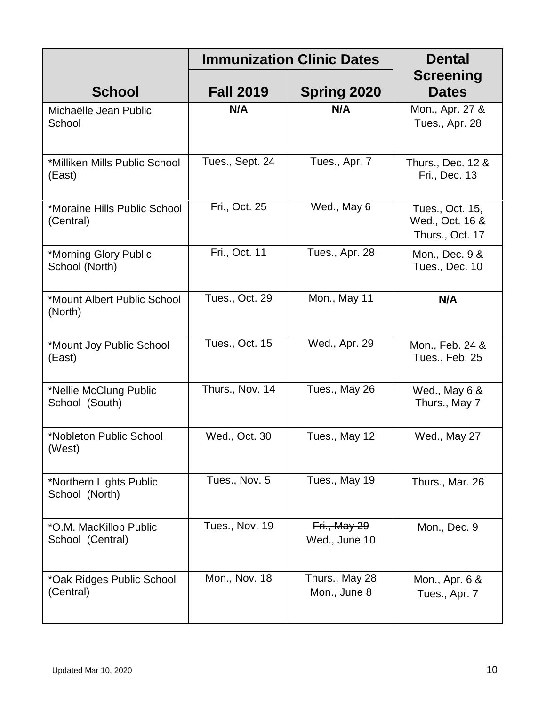|                                            |                  | <b>Immunization Clinic Dates</b> | <b>Dental</b>                                         |
|--------------------------------------------|------------------|----------------------------------|-------------------------------------------------------|
| <b>School</b>                              | <b>Fall 2019</b> | <b>Spring 2020</b>               | <b>Screening</b><br><b>Dates</b>                      |
| Michaëlle Jean Public<br>School            | N/A              | N/A                              | Mon., Apr. 27 &<br>Tues., Apr. 28                     |
| *Milliken Mills Public School<br>(East)    | Tues., Sept. 24  | Tues., Apr. 7                    | Thurs., Dec. 12 &<br>Fri., Dec. 13                    |
| *Moraine Hills Public School<br>(Central)  | Fri., Oct. 25    | Wed., May 6                      | Tues., Oct. 15,<br>Wed., Oct. 16 &<br>Thurs., Oct. 17 |
| *Morning Glory Public<br>School (North)    | Fri., Oct. 11    | Tues., Apr. 28                   | Mon., Dec. 9 &<br>Tues., Dec. 10                      |
| *Mount Albert Public School<br>(North)     | Tues., Oct. 29   | Mon., May 11                     | N/A                                                   |
| *Mount Joy Public School<br>(East)         | Tues., Oct. 15   | Wed., Apr. 29                    | Mon., Feb. 24 &<br>Tues., Feb. 25                     |
| *Nellie McClung Public<br>School (South)   | Thurs., Nov. 14  | Tues., May 26                    | Wed., May 6 &<br>Thurs., May 7                        |
| *Nobleton Public School<br>(West)          | Wed., Oct. 30    | Tues., May 12                    | Wed., May 27                                          |
| *Northern Lights Public<br>School (North)  | Tues., Nov. 5    | Tues., May 19                    | Thurs., Mar. 26                                       |
| *O.M. MacKillop Public<br>School (Central) | Tues., Nov. 19   | Fri., May 29<br>Wed., June 10    | Mon., Dec. 9                                          |
| *Oak Ridges Public School<br>(Central)     | Mon., Nov. 18    | Thurs., May 28<br>Mon., June 8   | Mon., Apr. 6 &<br>Tues., Apr. 7                       |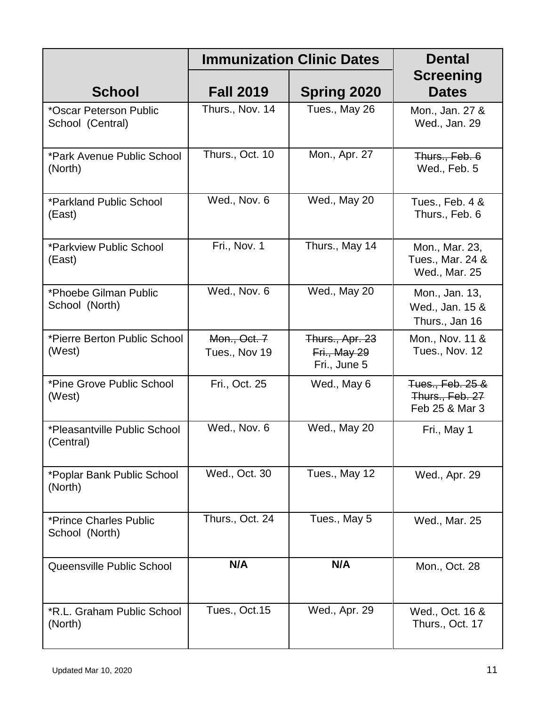|                                            |                               | <b>Immunization Clinic Dates</b>                | <b>Dental</b>                                         |  |
|--------------------------------------------|-------------------------------|-------------------------------------------------|-------------------------------------------------------|--|
| <b>School</b>                              | <b>Fall 2019</b>              | <b>Spring 2020</b>                              | <b>Screening</b><br><b>Dates</b>                      |  |
| *Oscar Peterson Public<br>School (Central) | Thurs., Nov. 14               | Tues., May 26                                   | Mon., Jan. 27 &<br>Wed., Jan. 29                      |  |
| *Park Avenue Public School<br>(North)      | Thurs., Oct. 10               | Mon., Apr. 27                                   | Thurs., Feb. 6<br>Wed., Feb. 5                        |  |
| *Parkland Public School<br>(East)          | Wed., Nov. 6                  | Wed., May 20                                    | Tues., Feb. 4 &<br>Thurs., Feb. 6                     |  |
| *Parkview Public School<br>(East)          | Fri., Nov. 1                  | Thurs., May 14                                  | Mon., Mar. 23,<br>Tues., Mar. 24 &<br>Wed., Mar. 25   |  |
| *Phoebe Gilman Public<br>School (North)    | Wed., Nov. 6                  | Wed., May 20                                    | Mon., Jan. 13,<br>Wed., Jan. 15 &<br>Thurs., Jan 16   |  |
| *Pierre Berton Public School<br>(West)     | Mon., Oct. 7<br>Tues., Nov 19 | Thurs., Apr. 23<br>Fri., May 29<br>Fri., June 5 | Mon., Nov. 11 &<br>Tues., Nov. 12                     |  |
| *Pine Grove Public School<br>(West)        | Fri., Oct. 25                 | Wed., May 6                                     | Tues., Feb. 25 &<br>Thurs., Feb. 27<br>Feb 25 & Mar 3 |  |
| *Pleasantville Public School<br>(Central)  | Wed., Nov. 6                  | Wed., May 20                                    | Fri., May 1                                           |  |
| *Poplar Bank Public School<br>(North)      | Wed., Oct. 30                 | Tues., May 12                                   | Wed., Apr. 29                                         |  |
| *Prince Charles Public<br>School (North)   | Thurs., Oct. 24               | Tues., May 5                                    | Wed., Mar. 25                                         |  |
| Queensville Public School                  | N/A                           | N/A                                             | Mon., Oct. 28                                         |  |
| *R.L. Graham Public School<br>(North)      | Tues., Oct.15                 | Wed., Apr. 29                                   | Wed., Oct. 16 &<br>Thurs., Oct. 17                    |  |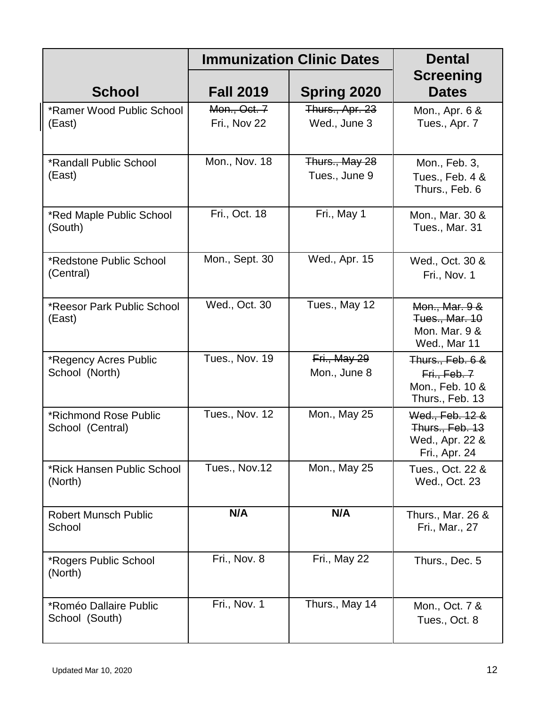|                                           |                              | <b>Immunization Clinic Dates</b> | <b>Dental</b>                                                          |
|-------------------------------------------|------------------------------|----------------------------------|------------------------------------------------------------------------|
| <b>School</b>                             | <b>Fall 2019</b>             | <b>Spring 2020</b>               | <b>Screening</b><br><b>Dates</b>                                       |
| *Ramer Wood Public School<br>(East)       | Mon., Oct. 7<br>Fri., Nov 22 | Thurs., Apr. 23<br>Wed., June 3  | Mon., Apr. 6 &<br>Tues., Apr. 7                                        |
| *Randall Public School<br>(East)          | Mon., Nov. 18                | Thurs., May 28<br>Tues., June 9  | Mon., Feb. 3,<br>Tues., Feb. 4 &<br>Thurs., Feb. 6                     |
| *Red Maple Public School<br>(South)       | Fri., Oct. 18                | Fri., May 1                      | Mon., Mar. 30 &<br>Tues., Mar. 31                                      |
| *Redstone Public School<br>(Central)      | Mon., Sept. 30               | Wed., Apr. 15                    | Wed., Oct. 30 &<br>Fri., Nov. 1                                        |
| *Reesor Park Public School<br>(East)      | Wed., Oct. 30                | Tues., May 12                    | Mon., Mar. 9 &<br>Tues., Mar. 10<br>Mon. Mar. 9 &<br>Wed., Mar 11      |
| *Regency Acres Public<br>School (North)   | Tues., Nov. 19               | Fri., May 29<br>Mon., June 8     | Thurs., Feb. 6 &<br>Fri., Feb. 7<br>Mon., Feb. 10 &<br>Thurs., Feb. 13 |
| *Richmond Rose Public<br>School (Central) | Tues., Nov. 12               | Mon., May 25                     | Wed., Feb. 12 &<br>Thurs., Feb. 13<br>Wed., Apr. 22 &<br>Fri., Apr. 24 |
| *Rick Hansen Public School<br>(North)     | Tues., Nov.12                | Mon., May 25                     | Tues., Oct. 22 &<br>Wed., Oct. 23                                      |
| <b>Robert Munsch Public</b><br>School     | N/A                          | N/A                              | Thurs., Mar. 26 &<br>Fri., Mar., 27                                    |
| *Rogers Public School<br>(North)          | Fri., Nov. 8                 | Fri., May 22                     | Thurs., Dec. 5                                                         |
| *Roméo Dallaire Public<br>School (South)  | Fri., Nov. 1                 | Thurs., May 14                   | Mon., Oct. 7 &<br>Tues., Oct. 8                                        |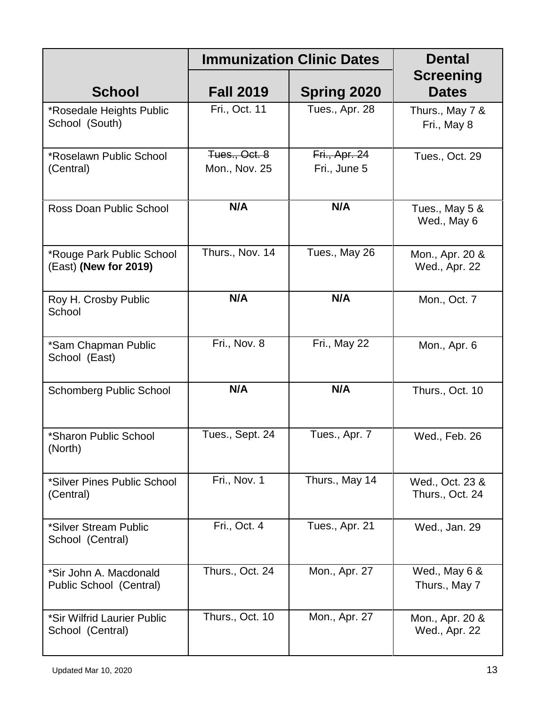|                                                    | <b>Immunization Clinic Dates</b> |                               |                                    |
|----------------------------------------------------|----------------------------------|-------------------------------|------------------------------------|
| <b>School</b>                                      | <b>Fall 2019</b>                 | <b>Spring 2020</b>            | <b>Screening</b><br><b>Dates</b>   |
| *Rosedale Heights Public<br>School (South)         | Fri., Oct. 11                    | Tues., Apr. 28                | Thurs., May 7 &<br>Fri., May 8     |
| *Roselawn Public School<br>(Central)               | Tues., Oct. 8<br>Mon., Nov. 25   | Fri., Apr. 24<br>Fri., June 5 | Tues., Oct. 29                     |
| Ross Doan Public School                            | N/A                              | N/A                           | Tues., May 5 &<br>Wed., May 6      |
| *Rouge Park Public School<br>(East) (New for 2019) | Thurs., Nov. 14                  | Tues., May 26                 | Mon., Apr. 20 &<br>Wed., Apr. 22   |
| Roy H. Crosby Public<br>School                     | N/A                              | N/A                           | Mon., Oct. 7                       |
| *Sam Chapman Public<br>School (East)               | Fri., Nov. 8                     | Fri., May 22                  | Mon., Apr. 6                       |
| <b>Schomberg Public School</b>                     | N/A                              | N/A                           | Thurs., Oct. 10                    |
| *Sharon Public School<br>(North)                   | Tues., Sept. 24                  | Tues., Apr. 7                 | Wed., Feb. 26                      |
| *Silver Pines Public School<br>(Central)           | Fri., Nov. 1                     | Thurs., May 14                | Wed., Oct. 23 &<br>Thurs., Oct. 24 |
| *Silver Stream Public<br>School (Central)          | Fri., Oct. 4                     | Tues., Apr. 21                | Wed., Jan. 29                      |
| *Sir John A. Macdonald<br>Public School (Central)  | Thurs., Oct. 24                  | Mon., Apr. 27                 | Wed., May 6 &<br>Thurs., May 7     |
| *Sir Wilfrid Laurier Public<br>School (Central)    | Thurs., Oct. 10                  | Mon., Apr. 27                 | Mon., Apr. 20 &<br>Wed., Apr. 22   |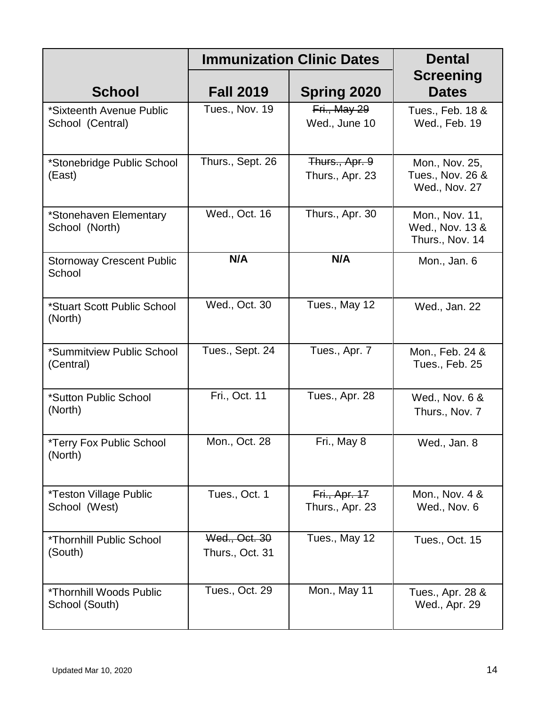|                                                   | <b>Immunization Clinic Dates</b> |                                   | <b>Dental</b>                                        |
|---------------------------------------------------|----------------------------------|-----------------------------------|------------------------------------------------------|
| <b>School</b>                                     | <b>Fall 2019</b>                 | <b>Spring 2020</b>                | <b>Screening</b><br><b>Dates</b>                     |
| *Sixteenth Avenue Public<br>School (Central)      | Tues., Nov. 19                   | Fri., May 29<br>Wed., June 10     | Tues., Feb. 18 &<br>Wed., Feb. 19                    |
| *Stonebridge Public School<br>(East)              | Thurs., Sept. 26                 | Thurs., Apr. 9<br>Thurs., Apr. 23 | Mon., Nov. 25,<br>Tues., Nov. 26 &<br>Wed., Nov. 27  |
| *Stonehaven Elementary<br>School (North)          | Wed., Oct. 16                    | Thurs., Apr. 30                   | Mon., Nov. 11,<br>Wed., Nov. 13 &<br>Thurs., Nov. 14 |
| <b>Stornoway Crescent Public</b><br>School        | N/A                              | N/A                               | Mon., Jan. 6                                         |
| *Stuart Scott Public School<br>(North)            | Wed., Oct. 30                    | Tues., May 12                     | Wed., Jan. 22                                        |
| *Summitview Public School<br>(Central)            | Tues., Sept. 24                  | Tues., Apr. 7                     | Mon., Feb. 24 &<br>Tues., Feb. 25                    |
| *Sutton Public School<br>(North)                  | Fri., Oct. 11                    | Tues., Apr. 28                    | Wed., Nov. 6 &<br>Thurs., Nov. 7                     |
| *Terry Fox Public School<br>(North)               | Mon., Oct. 28                    | Fri., May 8                       | Wed., Jan. 8                                         |
| *Teston Village Public<br>School (West)           | Tues., Oct. 1                    | Fri., Apr. 17<br>Thurs., Apr. 23  | Mon., Nov. 4 &<br>Wed., Nov. 6                       |
| <i><b>*Thornhill Public School</b></i><br>(South) | Wed., Oct. 30<br>Thurs., Oct. 31 | Tues., May 12                     | Tues., Oct. 15                                       |
| *Thornhill Woods Public<br>School (South)         | Tues., Oct. 29                   | Mon., May 11                      | Tues., Apr. 28 &<br>Wed., Apr. 29                    |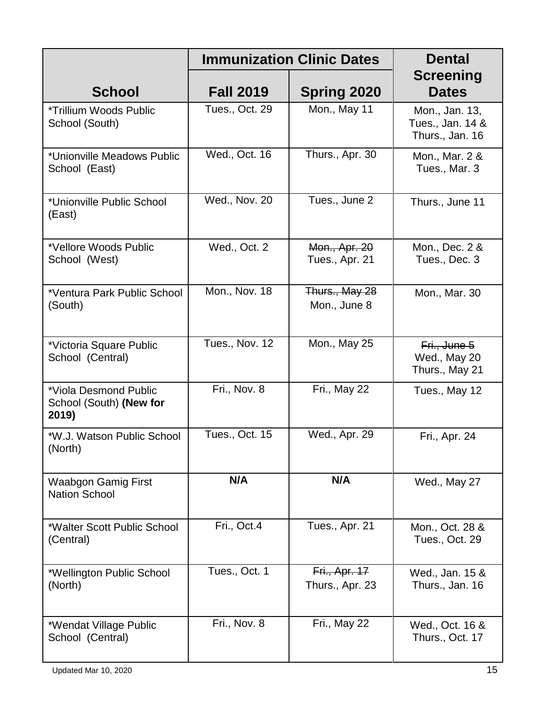|                                                           | <b>Immunization Clinic Dates</b> | <b>Dental</b>                    |                                                       |
|-----------------------------------------------------------|----------------------------------|----------------------------------|-------------------------------------------------------|
| <b>School</b>                                             | <b>Fall 2019</b>                 | <b>Spring 2020</b>               | <b>Screening</b><br><b>Dates</b>                      |
| *Trillium Woods Public<br>School (South)                  | Tues., Oct. 29                   | Mon., May 11                     | Mon., Jan. 13,<br>Tues., Jan. 14 &<br>Thurs., Jan. 16 |
| *Unionville Meadows Public<br>School (East)               | Wed., Oct. 16                    | Thurs., Apr. 30                  | Mon., Mar. 2 &<br>Tues., Mar. 3                       |
| *Unionville Public School<br>(East)                       | Wed., Nov. 20                    | Tues., June 2                    | Thurs., June 11                                       |
| *Vellore Woods Public<br>School (West)                    | Wed., Oct. 2                     | Mon., Apr. 20<br>Tues., Apr. 21  | Mon., Dec. 2 &<br>Tues., Dec. 3                       |
| *Ventura Park Public School<br>(South)                    | Mon., Nov. 18                    | Thurs., May 28<br>Mon., June 8   | Mon., Mar. 30                                         |
| *Victoria Square Public<br>School (Central)               | Tues., Nov. 12                   | Mon., May 25                     | Fri., June 5<br>Wed., May 20<br>Thurs., May 21        |
| *Viola Desmond Public<br>School (South) (New for<br>2019) | Fri., Nov. 8                     | Fri., May 22                     | Tues., May 12                                         |
| *W.J. Watson Public School<br>(North)                     | Tues., Oct. 15                   | Wed., Apr. 29                    | Fri., Apr. 24                                         |
| <b>Waabgon Gamig First</b><br><b>Nation School</b>        | N/A                              | N/A                              | Wed., May 27                                          |
| *Walter Scott Public School<br>(Central)                  | Fri., Oct.4                      | Tues., Apr. 21                   | Mon., Oct. 28 &<br>Tues., Oct. 29                     |
| *Wellington Public School<br>(North)                      | Tues., Oct. 1                    | Fri., Apr. 17<br>Thurs., Apr. 23 | Wed., Jan. 15 &<br>Thurs., Jan. 16                    |
| *Wendat Village Public<br>School (Central)                | Fri., Nov. 8                     | Fri., May 22                     | Wed., Oct. 16 &<br>Thurs., Oct. 17                    |